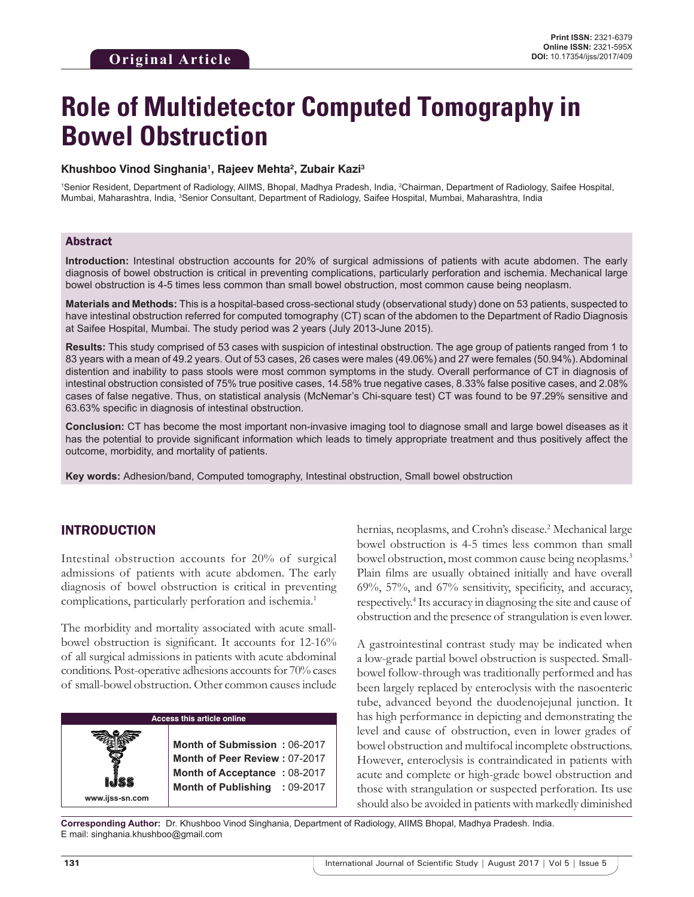# **Role of Multidetector Computed Tomography in Bowel Obstruction**

#### **Khushboo Vinod Singhania1 , Rajeev Mehta2 , Zubair Kazi3**

1 Senior Resident, Department of Radiology, AIIMS, Bhopal, Madhya Pradesh, India, 2 Chairman, Department of Radiology, Saifee Hospital, Mumbai, Maharashtra, India, <sup>3</sup>Senior Consultant, Department of Radiology, Saifee Hospital, Mumbai, Maharashtra, India

#### Abstract

**Introduction:** Intestinal obstruction accounts for 20% of surgical admissions of patients with acute abdomen. The early diagnosis of bowel obstruction is critical in preventing complications, particularly perforation and ischemia. Mechanical large bowel obstruction is 4-5 times less common than small bowel obstruction, most common cause being neoplasm.

**Materials and Methods:** This is a hospital-based cross-sectional study (observational study) done on 53 patients, suspected to have intestinal obstruction referred for computed tomography (CT) scan of the abdomen to the Department of Radio Diagnosis at Saifee Hospital, Mumbai. The study period was 2 years (July 2013-June 2015).

**Results:** This study comprised of 53 cases with suspicion of intestinal obstruction. The age group of patients ranged from 1 to 83 years with a mean of 49.2 years. Out of 53 cases, 26 cases were males (49.06%) and 27 were females (50.94%). Abdominal distention and inability to pass stools were most common symptoms in the study. Overall performance of CT in diagnosis of intestinal obstruction consisted of 75% true positive cases, 14.58% true negative cases, 8.33% false positive cases, and 2.08% cases of false negative. Thus, on statistical analysis (McNemar's Chi-square test) CT was found to be 97.29% sensitive and 63.63% specific in diagnosis of intestinal obstruction.

**Conclusion:** CT has become the most important non-invasive imaging tool to diagnose small and large bowel diseases as it has the potential to provide significant information which leads to timely appropriate treatment and thus positively affect the outcome, morbidity, and mortality of patients.

**Key words:** Adhesion/band, Computed tomography, Intestinal obstruction, Small bowel obstruction

## INTRODUCTION

Intestinal obstruction accounts for 20% of surgical admissions of patients with acute abdomen. The early diagnosis of bowel obstruction is critical in preventing complications, particularly perforation and ischemia.<sup>1</sup>

The morbidity and mortality associated with acute smallbowel obstruction is significant. It accounts for 12-16% of all surgical admissions in patients with acute abdominal conditions. Post-operative adhesions accounts for 70% cases of small-bowel obstruction. Other common causes include

#### **Access this article online**

**Month of Submission :** 06-2017 **Month of Peer Review :** 07-2017 **Month of Acceptance :** 08-2017 **Month of Publishing :** 09-2017

hernias, neoplasms, and Crohn's disease.<sup>2</sup> Mechanical large bowel obstruction is 4-5 times less common than small bowel obstruction, most common cause being neoplasms.<sup>3</sup> Plain films are usually obtained initially and have overall 69%, 57%, and 67% sensitivity, specificity, and accuracy, respectively.<sup>4</sup> Its accuracy in diagnosing the site and cause of obstruction and the presence of strangulation is even lower.

A gastrointestinal contrast study may be indicated when a low-grade partial bowel obstruction is suspected. Smallbowel follow-through was traditionally performed and has been largely replaced by enteroclysis with the nasoenteric tube, advanced beyond the duodenojejunal junction. It has high performance in depicting and demonstrating the level and cause of obstruction, even in lower grades of bowel obstruction and multifocal incomplete obstructions. However, enteroclysis is contraindicated in patients with acute and complete or high-grade bowel obstruction and those with strangulation or suspected perforation. Its use should also be avoided in patients with markedly diminished

**Corresponding Author:** Dr. Khushboo Vinod Singhania, Department of Radiology, AIIMS Bhopal, Madhya Pradesh. India. E mail: singhania.khushboo@gmail.com

**www.ijss-sn.com**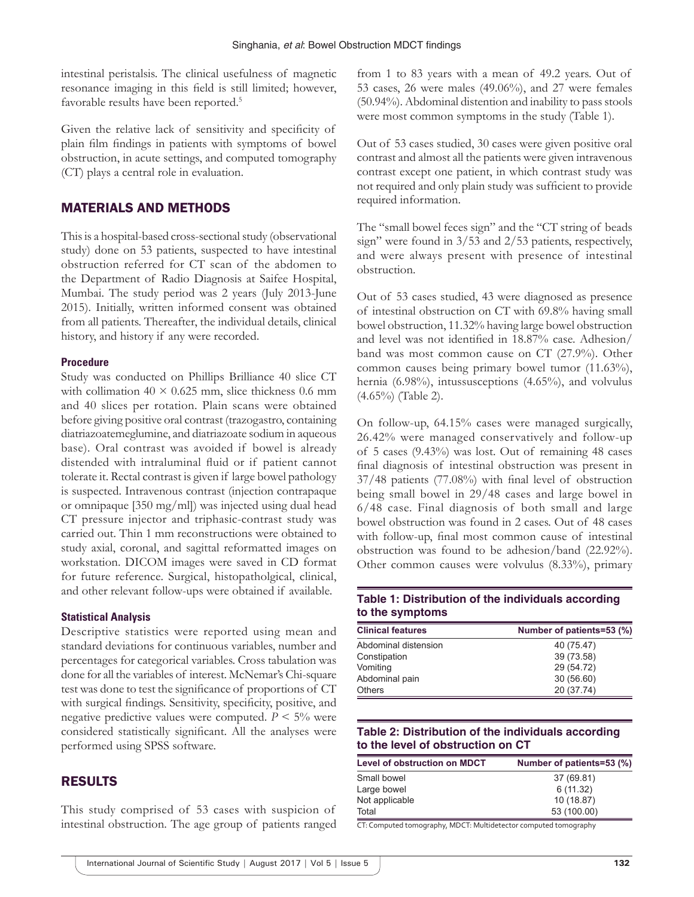intestinal peristalsis. The clinical usefulness of magnetic resonance imaging in this field is still limited; however, favorable results have been reported.<sup>5</sup>

Given the relative lack of sensitivity and specificity of plain film findings in patients with symptoms of bowel obstruction, in acute settings, and computed tomography (CT) plays a central role in evaluation.

# MATERIALS AND METHODS

This is a hospital-based cross-sectional study (observational study) done on 53 patients, suspected to have intestinal obstruction referred for CT scan of the abdomen to the Department of Radio Diagnosis at Saifee Hospital, Mumbai. The study period was 2 years (July 2013-June 2015). Initially, written informed consent was obtained from all patients. Thereafter, the individual details, clinical history, and history if any were recorded.

#### **Procedure**

Study was conducted on Phillips Brilliance 40 slice CT with collimation  $40 \times 0.625$  mm, slice thickness 0.6 mm and 40 slices per rotation. Plain scans were obtained before giving positive oral contrast (trazogastro, containing diatriazoatemeglumine, and diatriazoate sodium in aqueous base). Oral contrast was avoided if bowel is already distended with intraluminal fluid or if patient cannot tolerate it. Rectal contrast is given if large bowel pathology is suspected. Intravenous contrast (injection contrapaque or omnipaque [350 mg/ml]) was injected using dual head CT pressure injector and triphasic-contrast study was carried out. Thin 1 mm reconstructions were obtained to study axial, coronal, and sagittal reformatted images on workstation. DICOM images were saved in CD format for future reference. Surgical, histopatholgical, clinical, and other relevant follow-ups were obtained if available.

#### **Statistical Analysis**

Descriptive statistics were reported using mean and standard deviations for continuous variables, number and percentages for categorical variables. Cross tabulation was done for all the variables of interest. McNemar's Chi-square test was done to test the significance of proportions of CT with surgical findings. Sensitivity, specificity, positive, and negative predictive values were computed.  $P \leq 5\%$  were considered statistically significant. All the analyses were performed using SPSS software.

## RESULTS

This study comprised of 53 cases with suspicion of intestinal obstruction. The age group of patients ranged

from 1 to 83 years with a mean of 49.2 years. Out of 53 cases, 26 were males (49.06%), and 27 were females (50.94%). Abdominal distention and inability to pass stools were most common symptoms in the study (Table 1).

Out of 53 cases studied, 30 cases were given positive oral contrast and almost all the patients were given intravenous contrast except one patient, in which contrast study was not required and only plain study was sufficient to provide required information.

The "small bowel feces sign" and the "CT string of beads sign" were found in 3/53 and 2/53 patients, respectively, and were always present with presence of intestinal obstruction.

Out of 53 cases studied, 43 were diagnosed as presence of intestinal obstruction on CT with 69.8% having small bowel obstruction, 11.32% having large bowel obstruction and level was not identified in 18.87% case. Adhesion/ band was most common cause on CT (27.9%). Other common causes being primary bowel tumor (11.63%), hernia (6.98%), intussusceptions (4.65%), and volvulus (4.65%) (Table 2).

On follow-up, 64.15% cases were managed surgically, 26.42% were managed conservatively and follow-up of 5 cases (9.43%) was lost. Out of remaining 48 cases final diagnosis of intestinal obstruction was present in 37/48 patients (77.08%) with final level of obstruction being small bowel in 29/48 cases and large bowel in 6/48 case. Final diagnosis of both small and large bowel obstruction was found in 2 cases. Out of 48 cases with follow-up, final most common cause of intestinal obstruction was found to be adhesion/band (22.92%). Other common causes were volvulus (8.33%), primary

#### **Table 1: Distribution of the individuals according to the symptoms**

| <b>Clinical features</b> | Number of patients=53 (%) |
|--------------------------|---------------------------|
| Abdominal distension     | 40 (75.47)                |
| Constipation             | 39 (73.58)                |
| Vomiting                 | 29 (54.72)                |
| Abdominal pain           | 30 (56.60)                |
| <b>Others</b>            | 20 (37.74)                |

# **Table 2: Distribution of the individuals according to the level of obstruction on CT**

| Level of obstruction on MDCT | Number of patients=53 (%) |
|------------------------------|---------------------------|
| Small bowel                  | 37 (69.81)                |
| Large bowel                  | 6(11.32)                  |
| Not applicable               | 10 (18.87)                |
| Total                        | 53 (100.00)               |

CT: Computed tomography, MDCT: Multidetector computed tomography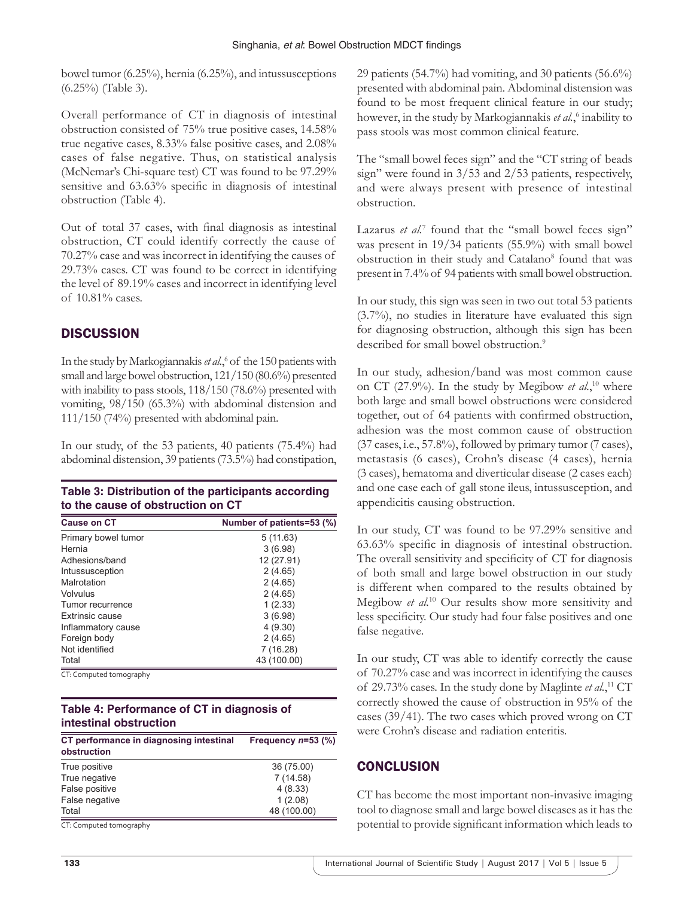bowel tumor (6.25%), hernia (6.25%), and intussusceptions (6.25%) (Table 3).

Overall performance of CT in diagnosis of intestinal obstruction consisted of 75% true positive cases, 14.58% true negative cases, 8.33% false positive cases, and 2.08% cases of false negative. Thus, on statistical analysis (McNemar's Chi-square test) CT was found to be 97.29% sensitive and 63.63% specific in diagnosis of intestinal obstruction (Table 4).

Out of total 37 cases, with final diagnosis as intestinal obstruction, CT could identify correctly the cause of 70.27% case and was incorrect in identifying the causes of 29.73% cases. CT was found to be correct in identifying the level of 89.19% cases and incorrect in identifying level of 10.81% cases.

# **DISCUSSION**

In the study by Markogiannakis et al.,<sup>6</sup> of the 150 patients with small and large bowel obstruction, 121/150 (80.6%) presented with inability to pass stools, 118/150 (78.6%) presented with vomiting, 98/150 (65.3%) with abdominal distension and 111/150 (74%) presented with abdominal pain.

In our study, of the 53 patients, 40 patients (75.4%) had abdominal distension, 39 patients (73.5%) had constipation,

| Table 3: Distribution of the participants according |
|-----------------------------------------------------|
| to the cause of obstruction on CT                   |

| <b>Cause on CT</b>     | Number of patients=53 (%) |
|------------------------|---------------------------|
| Primary bowel tumor    | 5(11.63)                  |
| Hernia                 | 3(6.98)                   |
| Adhesions/band         | 12 (27.91)                |
| Intussusception        | 2(4.65)                   |
| Malrotation            | 2(4.65)                   |
| Volvulus               | 2(4.65)                   |
| Tumor recurrence       | 1(2.33)                   |
| <b>Extrinsic cause</b> | 3(6.98)                   |
| Inflammatory cause     | 4(9.30)                   |
| Foreign body           | 2(4.65)                   |
| Not identified         | 7 (16.28)                 |
| Total                  | 43 (100.00)               |

CT: Computed tomography

# **Table 4: Performance of CT in diagnosis of intestinal obstruction**

| CT performance in diagnosing intestinal<br>obstruction | Frequency $n=53$ (%) |
|--------------------------------------------------------|----------------------|
| True positive                                          | 36 (75.00)           |
| True negative                                          | 7(14.58)             |
| False positive                                         | 4(8.33)              |
| False negative                                         | 1(2.08)              |
| Total                                                  | 48 (100.00)          |

CT: Computed tomography

29 patients (54.7%) had vomiting, and 30 patients (56.6%) presented with abdominal pain. Abdominal distension was found to be most frequent clinical feature in our study; however, in the study by Markogiannakis *et al.*, 6 inability to pass stools was most common clinical feature.

The "small bowel feces sign" and the "CT string of beads sign" were found in 3/53 and 2/53 patients, respectively, and were always present with presence of intestinal obstruction.

Lazarus *et al.*<sup>7</sup> found that the "small bowel feces sign" was present in 19/34 patients (55.9%) with small bowel obstruction in their study and Catalano<sup>8</sup> found that was present in 7.4% of 94 patients with small bowel obstruction.

In our study, this sign was seen in two out total 53 patients (3.7%), no studies in literature have evaluated this sign for diagnosing obstruction, although this sign has been described for small bowel obstruction.<sup>9</sup>

In our study, adhesion/band was most common cause on CT (27.9%). In the study by Megibow *et al.*,<sup>10</sup> where both large and small bowel obstructions were considered together, out of 64 patients with confirmed obstruction, adhesion was the most common cause of obstruction (37 cases, i.e., 57.8%), followed by primary tumor (7 cases), metastasis (6 cases), Crohn's disease (4 cases), hernia (3 cases), hematoma and diverticular disease (2 cases each) and one case each of gall stone ileus, intussusception, and appendicitis causing obstruction.

In our study, CT was found to be 97.29% sensitive and 63.63% specific in diagnosis of intestinal obstruction. The overall sensitivity and specificity of CT for diagnosis of both small and large bowel obstruction in our study is different when compared to the results obtained by Megibow *et al.*10 Our results show more sensitivity and less specificity. Our study had four false positives and one false negative.

In our study, CT was able to identify correctly the cause of 70.27% case and was incorrect in identifying the causes of 29.73% cases. In the study done by Maglinte *et al.*, <sup>11</sup> CT correctly showed the cause of obstruction in 95% of the cases (39/41). The two cases which proved wrong on CT were Crohn's disease and radiation enteritis.

# **CONCLUSION**

CT has become the most important non-invasive imaging tool to diagnose small and large bowel diseases as it has the potential to provide significant information which leads to